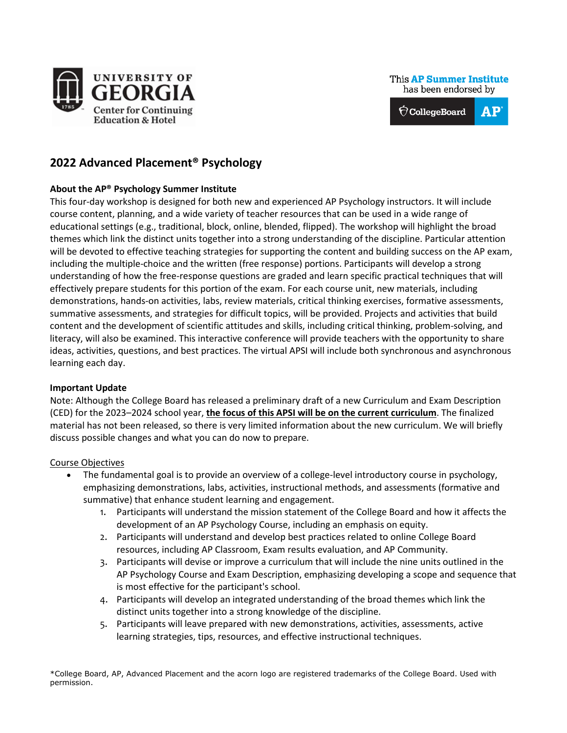

This AP Summer Institute has been endorsed by

 $AP<sup>°</sup>$  $\bigcirc$  CollegeBoard

# **2022 Advanced Placement® Psychology**

## **About the AP® Psychology Summer Institute**

This four-day workshop is designed for both new and experienced AP Psychology instructors. It will include course content, planning, and a wide variety of teacher resources that can be used in a wide range of educational settings (e.g., traditional, block, online, blended, flipped). The workshop will highlight the broad themes which link the distinct units together into a strong understanding of the discipline. Particular attention will be devoted to effective teaching strategies for supporting the content and building success on the AP exam, including the multiple-choice and the written (free response) portions. Participants will develop a strong understanding of how the free-response questions are graded and learn specific practical techniques that will effectively prepare students for this portion of the exam. For each course unit, new materials, including demonstrations, hands-on activities, labs, review materials, critical thinking exercises, formative assessments, summative assessments, and strategies for difficult topics, will be provided. Projects and activities that build content and the development of scientific attitudes and skills, including critical thinking, problem-solving, and literacy, will also be examined. This interactive conference will provide teachers with the opportunity to share ideas, activities, questions, and best practices. The virtual APSI will include both synchronous and asynchronous learning each day.

## **Important Update**

Note: Although the College Board has released a preliminary draft of a new Curriculum and Exam Description (CED) for the 2023–2024 school year, **the focus of this APSI will be on the current curriculum**. The finalized material has not been released, so there is very limited information about the new curriculum. We will briefly discuss possible changes and what you can do now to prepare.

#### Course Objectives

- The fundamental goal is to provide an overview of a college-level introductory course in psychology, emphasizing demonstrations, labs, activities, instructional methods, and assessments (formative and summative) that enhance student learning and engagement.
	- 1. Participants will understand the mission statement of the College Board and how it affects the development of an AP Psychology Course, including an emphasis on equity.
	- 2. Participants will understand and develop best practices related to online College Board resources, including AP Classroom, Exam results evaluation, and AP Community.
	- 3. Participants will devise or improve a curriculum that will include the nine units outlined in the AP Psychology Course and Exam Description, emphasizing developing a scope and sequence that is most effective for the participant's school.
	- 4. Participants will develop an integrated understanding of the broad themes which link the distinct units together into a strong knowledge of the discipline.
	- 5. Participants will leave prepared with new demonstrations, activities, assessments, active learning strategies, tips, resources, and effective instructional techniques.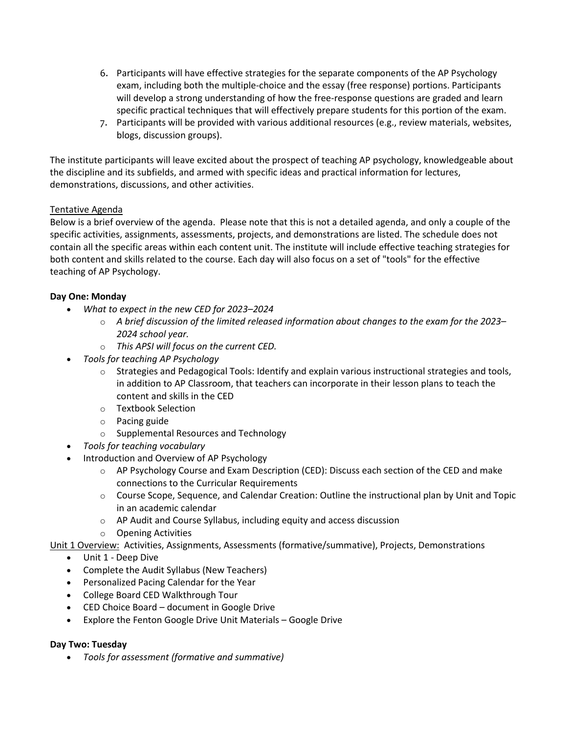- 6. Participants will have effective strategies for the separate components of the AP Psychology exam, including both the multiple-choice and the essay (free response) portions. Participants will develop a strong understanding of how the free-response questions are graded and learn specific practical techniques that will effectively prepare students for this portion of the exam.
- 7. Participants will be provided with various additional resources (e.g., review materials, websites, blogs, discussion groups).

The institute participants will leave excited about the prospect of teaching AP psychology, knowledgeable about the discipline and its subfields, and armed with specific ideas and practical information for lectures, demonstrations, discussions, and other activities.

## Tentative Agenda

Below is a brief overview of the agenda. Please note that this is not a detailed agenda, and only a couple of the specific activities, assignments, assessments, projects, and demonstrations are listed. The schedule does not contain all the specific areas within each content unit. The institute will include effective teaching strategies for both content and skills related to the course. Each day will also focus on a set of "tools" for the effective teaching of AP Psychology.

### **Day One: Monday**

- *What to expect in the new CED for 2023–2024*
	- o *A brief discussion of the limited released information about changes to the exam for the 2023– 2024 school year.*
	- o *This APSI will focus on the current CED.*
- *Tools for teaching AP Psychology*
	- $\circ$  Strategies and Pedagogical Tools: Identify and explain various instructional strategies and tools, in addition to AP Classroom, that teachers can incorporate in their lesson plans to teach the content and skills in the CED
	- o Textbook Selection
	- o Pacing guide
	- o Supplemental Resources and Technology
- *Tools for teaching vocabulary*
- Introduction and Overview of AP Psychology
	- $\circ$  AP Psychology Course and Exam Description (CED): Discuss each section of the CED and make connections to the Curricular Requirements
	- o Course Scope, Sequence, and Calendar Creation: Outline the instructional plan by Unit and Topic in an academic calendar
	- $\circ$  AP Audit and Course Syllabus, including equity and access discussion
	- o Opening Activities

Unit 1 Overview: Activities, Assignments, Assessments (formative/summative), Projects, Demonstrations

- Unit 1 Deep Dive
- Complete the Audit Syllabus (New Teachers)
- Personalized Pacing Calendar for the Year
- College Board CED Walkthrough Tour
- CED Choice Board document in Google Drive
- Explore the Fenton Google Drive Unit Materials Google Drive

#### **Day Two: Tuesday**

• *Tools for assessment (formative and summative)*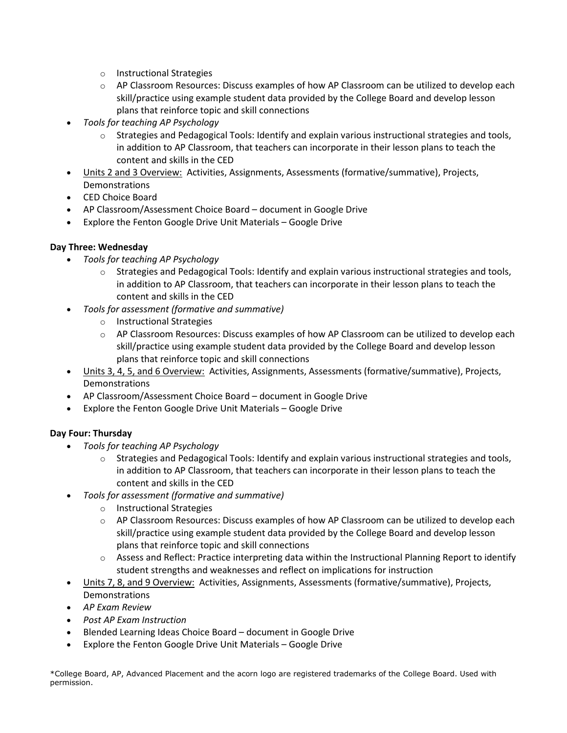- o Instructional Strategies
- $\circ$  AP Classroom Resources: Discuss examples of how AP Classroom can be utilized to develop each skill/practice using example student data provided by the College Board and develop lesson plans that reinforce topic and skill connections
- *Tools for teaching AP Psychology*
	- $\circ$  Strategies and Pedagogical Tools: Identify and explain various instructional strategies and tools, in addition to AP Classroom, that teachers can incorporate in their lesson plans to teach the content and skills in the CED
- Units 2 and 3 Overview: Activities, Assignments, Assessments (formative/summative), Projects, **Demonstrations**
- CED Choice Board
- AP Classroom/Assessment Choice Board document in Google Drive
- Explore the Fenton Google Drive Unit Materials Google Drive

## **Day Three: Wednesday**

- *Tools for teaching AP Psychology*
	- $\circ$  Strategies and Pedagogical Tools: Identify and explain various instructional strategies and tools, in addition to AP Classroom, that teachers can incorporate in their lesson plans to teach the content and skills in the CED
- *Tools for assessment (formative and summative)*
	- o Instructional Strategies
	- $\circ$  AP Classroom Resources: Discuss examples of how AP Classroom can be utilized to develop each skill/practice using example student data provided by the College Board and develop lesson plans that reinforce topic and skill connections
- Units 3, 4, 5, and 6 Overview: Activities, Assignments, Assessments (formative/summative), Projects, Demonstrations
- AP Classroom/Assessment Choice Board document in Google Drive
- Explore the Fenton Google Drive Unit Materials Google Drive

## **Day Four: Thursday**

- *Tools for teaching AP Psychology*
	- Strategies and Pedagogical Tools: Identify and explain various instructional strategies and tools, in addition to AP Classroom, that teachers can incorporate in their lesson plans to teach the content and skills in the CED
- *Tools for assessment (formative and summative)*
	- o Instructional Strategies
	- $\circ$  AP Classroom Resources: Discuss examples of how AP Classroom can be utilized to develop each skill/practice using example student data provided by the College Board and develop lesson plans that reinforce topic and skill connections
	- o Assess and Reflect: Practice interpreting data within the Instructional Planning Report to identify student strengths and weaknesses and reflect on implications for instruction
- Units 7, 8, and 9 Overview: Activities, Assignments, Assessments (formative/summative), Projects, **Demonstrations**
- *AP Exam Review*
- *Post AP Exam Instruction*
- Blended Learning Ideas Choice Board document in Google Drive
- Explore the Fenton Google Drive Unit Materials Google Drive

\*College Board, AP, Advanced Placement and the acorn logo are registered trademarks of the College Board. Used with permission.